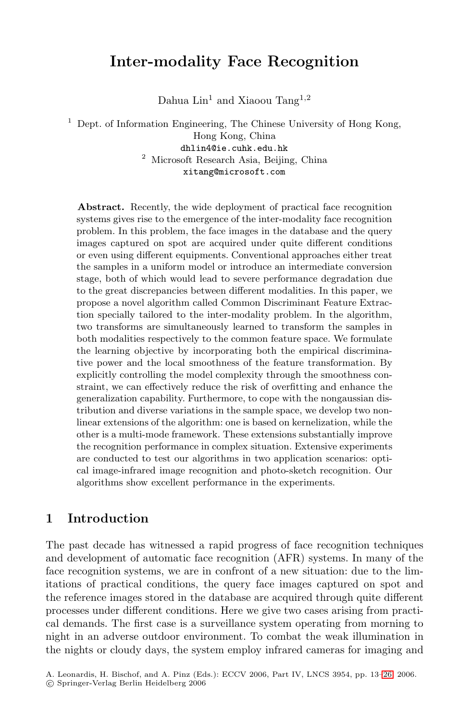# **Inter-modality Face Recognition**

Dahua  $\mathrm{Lin}^1$  and Xiaoou Tang<sup>1,2</sup>

<sup>1</sup> Dept. of Information Engineering, The Chinese University of Hong Kong, Hong Kong, China dhlin4@ie.cuhk.edu.hk <sup>2</sup> Microsoft Research Asia, Beijing, China xitang@microsoft.com

**Abstract.** Recently, the wide deployment of practical face recognition systems gives rise to the emergence of the inter-modality face recognition problem. In this problem, the face images in the database and the query images captured on spot are acquired under quite different conditions or even using different equipments. Conventional approaches either treat the samples in a uniform model or introduce an intermediate conversion stage, both of which would lead to severe performance degradation due to the great discrepancies between different modalities. In this paper, we propose a novel algorithm called Common Discriminant Feature Extraction specially tailored to the inter-modality problem. In the algorithm, two transforms are simultaneously learned to transform the samples in both modalities respectively to the common feature space. We formulate the learning objective by incorporating both the empirical discriminative power and the local smoothness of the feature transformation. By explicitly controlling the model complexity through the smoothness constraint, we can effectively reduce the risk of overfitting and enhance the generalization capability. Furthermore, to cope with the nongaussian distribution and diverse variations in the sample space, we develop two nonlinear extensions of the algorithm: one is based on kernelization, while the other is a multi-mode framework. These extensions substantially improve the recognition performance in complex situation. Extensive experiments are conducted to test our algorithms in two application scenarios: optical image-infrared image recognition and photo-sketch recognition. Our algorithms show excellent performance in the experiments.

# **1 Introduction**

The past decade has witnessed a rapid progress of face recognition techniques and development of automatic face recognition (AFR) systems. In many of the face recognition systems, we are in confront of a ne[w s](#page-13-0)ituation: due to the limitations of practical conditions, the query face images captured on spot and the reference images stored in the database are acquired through quite different processes under different conditions. Here we give two cases arising from practical demands. The first case is a surveillance system operating from morning to night in an adverse outdoor environment. To combat the weak illumination in the nights or cloudy days, the system employ infrared cameras for imaging and

A. Leonardis, H. Bischof, and A. Pinz (Eds.): ECCV 2006, Part IV, LNCS 3954, pp. 13–26, 2006. -c Springer-Verlag Berlin Heidelberg 2006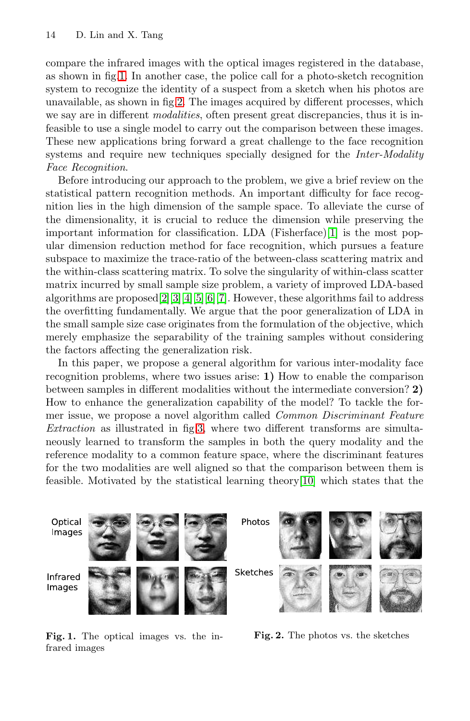compare the infrared images with the optical images registered in the database, as shown in fig.1. In another case, the police call for a photo-sketch recognition system to recognize the identity of a suspect from a sketch when his photos are unavailable, as shown in fig.2. The images acquired by different processes, which we say are in different *modalities*, often present great discrepancies, thus it is infeasible to use a single model to carry ou[t t](#page-13-1)he comparison between these images. These new applications bring forward a great challenge to the face recognition systems and require new techniques specially designed for the *Inter-Modality* Face Recognition.

Before introducing our approach to the problem, we give a brief review on the stati[sti](#page-13-2)[cal](#page-13-3) [p](#page-13-4)[att](#page-13-5)[er](#page-13-6)[n](#page-13-7) recognition methods. An important difficulty for face recognition lies in the high dimension of the sample space. To alleviate the curse of the dimensionality, it is crucial to reduce the dimension while preserving the important information for classification. LDA (Fisherface)[1] is the most popular dimension reduction method for face recognition, which pursues a feature subspace to maximize the trace-ratio of the between-class scattering matrix and the within-class scattering matrix. To solve the singularity of within-class scatter matrix incurred by small sample size problem, a variety of improved LDA-based algorithms are proposed[2][3][4][5][6][7]. However, these algorithms fail to address the overfitting fundamentally. We argue that the poor generalization of LDA in the small sa[mp](#page-2-0)le size case originates from the formulation of the objective, which merely emphasize the separability of the training samples without considering the factors affecting the generalization risk.

In this paper, we propose a general algorithm for various inter-modality face recognition problems, where two i[ssue](#page-13-8)s arise: **1)** How to enable the comparison between samples in different modalities without the intermediate conversion? **2)** How to enhance the generalization capability of the model? To tackle the former issue, we propose a novel algorithm called Common Discriminant Feature Extraction as illustrated in fig.3, where two different transforms are simultaneously learned to transform the samples in both the query modality and the reference modality to a common feature space, where the discriminant features for the two modalities are well aligned so that the comparison between them is feasible. Motivated by the statistical learning theory[10] which states that the

<span id="page-1-1"></span><span id="page-1-0"></span>

**Fig. 1.** The optical images vs. the infrared images

**Fig. 2.** The photos vs. the sketches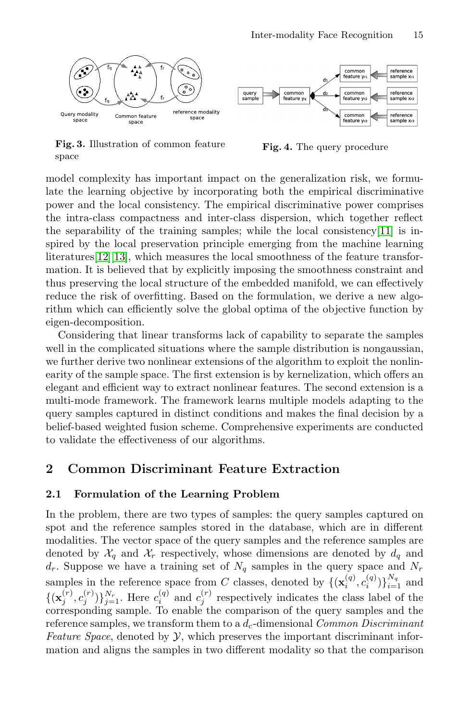<span id="page-2-0"></span>

**Fig. 3.** Illustration of common feature space

**Fig. 4.** The query procedure

model complexity has important impact on the generalization risk, we formulate the learning objective by incorporating both the empirical discriminative power and the local consistency. The empirical discriminative power comprises the intra-class compactness and inter-class dispersion, which together reflect the separability of the training samples; while the local consistency[11] is inspired by the local preservation principle emerging from the machine learning literatures[12][13], which measures the local smoothness of the feature transformation. It is believed that by explicitly imposing the smoothness constraint and thus preserving the local structure of the embedded manifold, we can effectively reduce the risk of overfitting. Based on the formulation, we derive a new algorithm which can efficiently solve the global optima of the objective function by eigen-decomposition.

Considering that linear transforms lack of capability to separate the samples well in the complicated situations where the sample distribution is nongaussian, we further derive two nonlinear extensions of the algorithm to exploit the nonlinearity of the sample space. The first extension is by kernelization, which offers an elegant and efficient way to extract nonlinear features. The second extension is a multi-mode framework. The framework learns multiple models adapting to the query samples captured in distinct conditions and makes the final decision by a belief-based weighted fusion scheme. Comprehensive experiments are conducted to validate the effectiveness of our algorithms.

# **2 Common Discriminant Feature Extraction**

### **2.1 Formulation of the Learning Problem**

In the problem, there are two types of samples: the query samples captured on spot and the reference samples stored in the database, which are in different modalities. The vector space of the query samples and the reference samples are denoted by  $\mathcal{X}_q$  and  $\mathcal{X}_r$  respectively, whose dimensions are denoted by  $d_q$  and  $d_r$ . Suppose we have a training set of  $N_q$  samples in the query space and  $N_r$ samples in the reference space from C classes, denoted by  $\{(\mathbf{x}_i^{(q)}, c_i^{(q)})\}_{i=1}^{N_q}$  and  $\{(\mathbf{x}_j^{(r)}, c_j^{(r)})\}_{j=1}^{N_r}$ . Here  $c_i^{(q)}$  and  $c_j^{(r)}$  respectively indicates the class label of the corresponding sample. To enable the comparison of the query samples and the reference samples, we transform them to a  $d_c$ -dimensional *Common Discriminant* Feature Space, denoted by  $\mathcal{Y}$ , which preserves the important discriminant information and aligns the samples in two different modality so that the comparison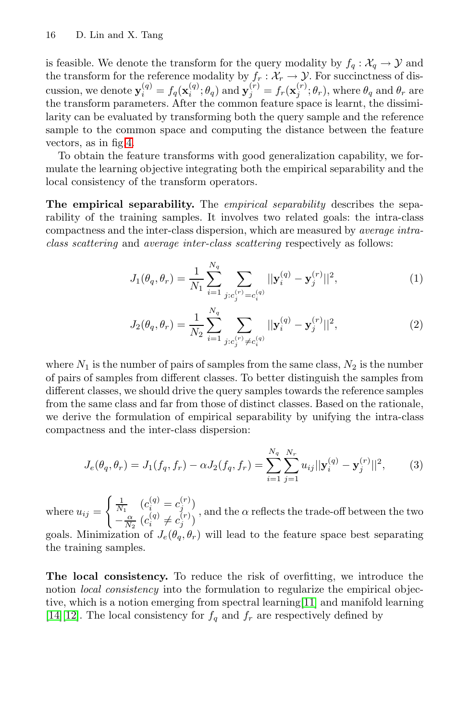is feasible. We denote the transform for the query modality by  $f_q: \mathcal{X}_q \to \mathcal{Y}$  and the transform for the reference modality by  $f_r : \mathcal{X}_r \to \mathcal{Y}$ . For succinctness of discussion, we denote  $\mathbf{y}_i^{(q)} = f_q(\mathbf{x}_i^{(q)}; \theta_q)$  and  $\mathbf{y}_j^{(r)} = f_r(\mathbf{x}_j^{(r)}; \theta_r)$ , where  $\theta_q$  and  $\theta_r$  are the transform parameters. After the common feature space is learnt, the dissimilarity can be evaluated by transforming both the query sample and the reference sample to the common space and computing the distance between the feature vectors, as in fig.4.

To obtain the feature transforms with good generalization capability, we formulate the learning objective integrating both the empirical separability and the local consistency of the transform operators.

The empirical separability. The *empirical separability* describes the separability of the training samples. It involves two related goals: the intra-class compactness and the inter-class dispersion, which are measured by average intraclass scattering and average inter-class scattering respectively as follows:

$$
J_1(\theta_q, \theta_r) = \frac{1}{N_1} \sum_{i=1}^{N_q} \sum_{j:c_j^{(r)}=c_i^{(q)}} ||\mathbf{y}_i^{(q)} - \mathbf{y}_j^{(r)}||^2,
$$
\n(1)

$$
J_2(\theta_q, \theta_r) = \frac{1}{N_2} \sum_{i=1}^{N_q} \sum_{j:c_j^{(r)} \neq c_i^{(q)}} ||\mathbf{y}_i^{(q)} - \mathbf{y}_j^{(r)}||^2,
$$
\n(2)

where  $N_1$  is the number of pairs of samples from the same class,  $N_2$  is the number of pairs of samples from different classes. To better distinguish the samples from different classes, we should drive the query samples towards the reference samples from the same class and far from those of distinct classes. Based on the rationale, we derive the formulation of empirical separability by unifying the intra-class compactness and the inter-class dispersion:

$$
J_e(\theta_q, \theta_r) = J_1(f_q, f_r) - \alpha J_2(f_q, f_r) = \sum_{i=1}^{N_q} \sum_{j=1}^{N_r} u_{ij} ||\mathbf{y}_i^{(q)} - \mathbf{y}_j^{(r)}||^2, \qquad (3)
$$

where  $u_{ij} =$  $\int \frac{1}{N_1}$   $(c_i^{(q)} = c_j^{(r)})$  $-\frac{\alpha}{N_2}$   $(c_i^{(q)} \neq c_j^{(r)})'$ , a[nd](#page-13-9) [t](#page-13-9)he  $\alpha$  reflects the trade-off between the two goals. Minimization of  $J_e(\theta_q, \theta_r)$  will lead to the feature space best separating the training samples.

**The local consistency.** To reduce the risk of overfitting, we introduce the notion *local consistency* into the formulation to regularize the empirical objective, which is a notion emerging from spectral learning[11] and manifold learning [14][12]. The local consistency for  $f_q$  and  $f_r$  are respectively defined by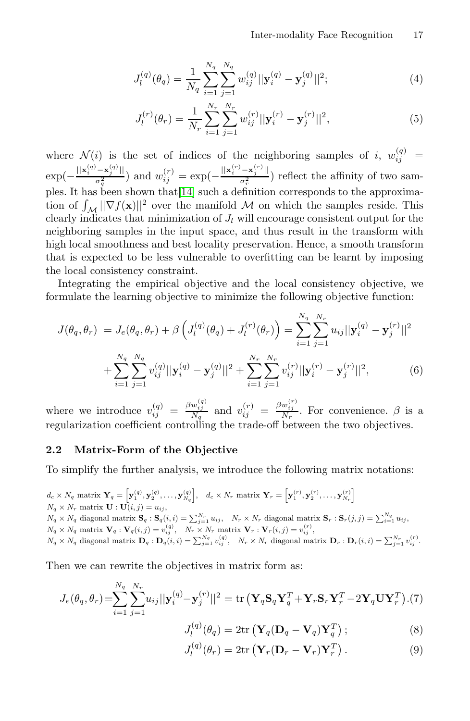$$
J_l^{(q)}(\theta_q) = \frac{1}{N_q} \sum_{i=1}^{N_q} \sum_{j=1}^{N_q} w_{ij}^{(q)} ||\mathbf{y}_i^{(q)} - \mathbf{y}_j^{(q)}||^2; \tag{4}
$$

$$
J_l^{(r)}(\theta_r) = \frac{1}{N_r} \sum_{i=1}^{N_r} \sum_{j=1}^{N_r} w_{ij}^{(r)} ||\mathbf{y}_i^{(r)} - \mathbf{y}_j^{(r)}||^2,
$$
 (5)

where  $\mathcal{N}(i)$  is the set of indices of the neighboring samples of i,  $w_{ij}^{(q)}$  =  $\exp(-\frac{||\mathbf{x}_i^{(q)} - \mathbf{x}_j^{(q)}||}{\sigma_q^2})$  and  $w_{ij}^{(r)} = \exp(-\frac{||\mathbf{x}_i^{(r)} - \mathbf{x}_j^{(r)}||}{\sigma_r^2})$  reflect the affinity of two samples. It has been shown that[14] such a definition corresponds to the approximation of  $\int_{\mathcal{M}} ||\nabla f(\mathbf{x})||^2$  over the manifold M on which the samples reside. This clearly indicates that minimization of  $J_l$  will encourage consistent output for the neighboring samples in the input space, and thus result in the transform with high local smoothness and best locality preservation. Hence, a smooth transform that is expected to be less vulnerable to overfitting can be learnt by imposing the local consistency constraint.

<span id="page-4-0"></span>Integrating the empirical objective and the local consistency objective, we formulate the learning objective to minimize the following objective function:

$$
J(\theta_q, \theta_r) = J_e(\theta_q, \theta_r) + \beta \left( J_l^{(q)}(\theta_q) + J_l^{(r)}(\theta_r) \right) = \sum_{i=1}^{N_q} \sum_{j=1}^{N_r} u_{ij} ||\mathbf{y}_i^{(q)} - \mathbf{y}_j^{(r)}||^2
$$
  
+ 
$$
\sum_{i=1}^{N_q} \sum_{j=1}^{N_q} v_{ij}^{(q)} ||\mathbf{y}_i^{(q)} - \mathbf{y}_j^{(q)}||^2 + \sum_{i=1}^{N_r} \sum_{j=1}^{N_r} v_{ij}^{(r)} ||\mathbf{y}_i^{(r)} - \mathbf{y}_j^{(r)}||^2,
$$
 (6)

where we introduce  $v_{ij}^{(q)} = \frac{\beta w_{ij}^{(q)}}{N_q}$  and  $v_{ij}^{(r)} = \frac{\beta w_{ij}^{(r)}}{N_r}$ . For convenience.  $\beta$  is a regularization coefficient controlling the trade-off between the two objectives.

#### **2.2 Matrix-Form of the Objective**

To simplify the further analysis, we introduce the following matrix notations:

 $d_c \times N_q \text{ matrix } \mathbf{Y}_q = \left[\mathbf{y}_1^{(q)}, \mathbf{y}_2^{(q)}, \ldots, \mathbf{y}_{N_q}^{(q)}\right], \hspace{2 mm} d_c \times N_r \text{ matrix } \mathbf{Y}_r = \left[\mathbf{y}_1^{(r)}, \mathbf{y}_2^{(r)}, \ldots, \mathbf{y}_{N_r}^{(r)}\right]$  $N_q \times N_r$  matrix **U** : **U**(*i*, *j*) =  $u_{ij}$ ,  $N_q \times N_q$  diagonal matrix  $\mathbf{S}_q \cdot \mathbf{S}_q(i, i) = \sum_{j=1}^{N_r} u_{ij}$ ,  $N_r \times N_r$  diagonal matrix  $\mathbf{S}_r \cdot \mathbf{S}_r(j, i) = \sum_{i=1}^{N_q} u_{ij}$ ,  $N_q \times N_q$  matrix  $\mathbf{V}_q : \mathbf{V}_q(i,j) = v_{ij}^{(q)}, N_r \times N_r$  matrix  $\mathbf{V}_r : \mathbf{V}_r(i,j) = v_{ij}^{(r)},$ <br>  $N_q \times N_q$  diagonal matrix  $\mathbf{D}_q : \mathbf{D}_q(i,i) = \sum_{j=1}^{N_q} v_{ij}^{(q)}, N_r \times N_r$  diagonal matrix  $\mathbf{D}_r : \mathbf{D}_r(i,i) = \sum_{j=1}^{N_r} v_{ij}^{(r)}$ .

Then we can rewrite the objectives in matrix form as:

$$
J_e(\theta_q, \theta_r) = \sum_{i=1}^{N_q} \sum_{j=1}^{N_r} u_{ij} ||\mathbf{y}_i^{(q)} - \mathbf{y}_j^{(r)}||^2 = \text{tr}\left(\mathbf{Y}_q \mathbf{S}_q \mathbf{Y}_q^T + \mathbf{Y}_r \mathbf{S}_r \mathbf{Y}_r^T - 2\mathbf{Y}_q \mathbf{U} \mathbf{Y}_r^T\right). (7)
$$

$$
J_l^{(q)}(\theta_q) = 2 \text{tr} \left( \mathbf{Y}_q (\mathbf{D}_q - \mathbf{V}_q) \mathbf{Y}_q^T \right); \tag{8}
$$

$$
J_l^{(q)}(\theta_r) = 2 \text{tr} \left( \mathbf{Y}_r (\mathbf{D}_r - \mathbf{V}_r) \mathbf{Y}_r^T \right). \tag{9}
$$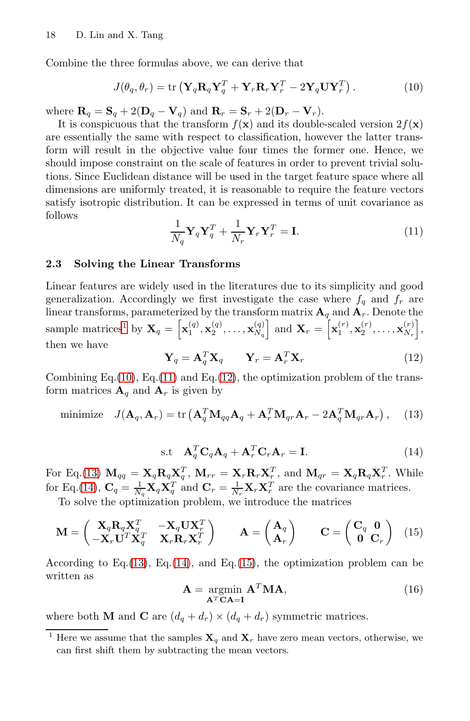Combine the three formulas above, we can derive that

$$
J(\theta_q, \theta_r) = \text{tr}\left(\mathbf{Y}_q \mathbf{R}_q \mathbf{Y}_q^T + \mathbf{Y}_r \mathbf{R}_r \mathbf{Y}_r^T - 2\mathbf{Y}_q \mathbf{U} \mathbf{Y}_r^T\right). \tag{10}
$$

where  $\mathbf{R}_q = \mathbf{S}_q + 2(\mathbf{D}_q - \mathbf{V}_q)$  and  $\mathbf{R}_r = \mathbf{S}_r + 2(\mathbf{D}_r - \mathbf{V}_r)$ .

<span id="page-5-0"></span>It is conspicuous that the transform  $f(\mathbf{x})$  and its double-scaled version  $2f(\mathbf{x})$ are essentially the same with respect to classification, however the latter transform will result in the objective value four times the former one. Hence, we should impose constraint on the scale of features in order to prevent trivial solutions. Since Euclidean distance will be used in the target feature space where all dimensions are uniformly treated, it is reasonable to require the feature vectors satisfy isotropic distribution. It can be expressed in terms of unit covariance as follows

$$
\frac{1}{N_q} \mathbf{Y}_q \mathbf{Y}_q^T + \frac{1}{N_r} \mathbf{Y}_r \mathbf{Y}_r^T = \mathbf{I}.
$$
 (11)

### <span id="page-5-1"></span>**2.3 Solving the Linear Transforms**

Line[ar](#page-5-0) [fe](#page-5-0)atures ar[e](#page-5-1) [w](#page-5-1)idely used in the literatures due to its simplicity and good generalization. Accordingly we first investigate the case where  $f_q$  and  $f_r$  are linear transforms, parameterized by the transform matrix  $\mathbf{A}_q$  and  $\mathbf{A}_r$ . Denote the  $\text{sample matrices}^1 \text{ by } \mathbf{X}_q = \left[ \mathbf{x}_1^{(q)}, \mathbf{x}_2^{(q)}, \ldots, \mathbf{x}_{N_q}^{(q)} \right] \text{ and } \mathbf{X}_r = \left[ \mathbf{x}_1^{(r)}, \mathbf{x}_2^{(r)}, \ldots, \mathbf{x}_{N_r}^{(r)} \right],$ then we have

<span id="page-5-2"></span>
$$
\mathbf{Y}_q = \mathbf{A}_q^T \mathbf{X}_q \qquad \mathbf{Y}_r = \mathbf{A}_r^T \mathbf{X}_r \tag{12}
$$

Combining Eq.(10), Eq.(11) and Eq.(12), the optimization problem of the transform matrices  $\mathbf{A}_q$  and  $\mathbf{A}_r$  is given by

minimize 
$$
J(\mathbf{A}_q, \mathbf{A}_r) = \text{tr} \left( \mathbf{A}_q^T \mathbf{M}_{qq} \mathbf{A}_q + \mathbf{A}_r^T \mathbf{M}_{qr} \mathbf{A}_r - 2 \mathbf{A}_q^T \mathbf{M}_{qr} \mathbf{A}_r \right),
$$
 (13)

$$
\text{s.t} \quad \mathbf{A}_q^T \mathbf{C}_q \mathbf{A}_q + \mathbf{A}_r^T \mathbf{C}_r \mathbf{A}_r = \mathbf{I}. \tag{14}
$$

For Eq.(13)  $\mathbf{M}_{qq} = \mathbf{X}_q \mathbf{R}_q \mathbf{X}_q^T$ ,  $\mathbf{M}_{rr} = \mathbf{X}_r \mathbf{R}_r \mathbf{X}_r^T$ , and  $\mathbf{M}_{qr} = \mathbf{X}_q \mathbf{R}_q \mathbf{X}_r^T$ . While for Eq.(14),  $C_q = \frac{1}{N_q} \mathbf{X}_q \mathbf{X}_q^T$  and  $C_r = \frac{1}{N_r} \mathbf{X}_r \mathbf{X}_r^T$  are the covariance matrices. To solve the optimization problem, we introduce the matrices

$$
\mathbf{M} = \begin{pmatrix} \mathbf{X}_q \mathbf{R}_q \mathbf{X}_q^T & -\mathbf{X}_q \mathbf{U} \mathbf{X}_r^T \\ -\mathbf{X}_r \mathbf{U}^T \mathbf{X}_q^T & \mathbf{X}_r \mathbf{R}_r \mathbf{X}_r^T \end{pmatrix} \qquad \mathbf{A} = \begin{pmatrix} \mathbf{A}_q \\ \mathbf{A}_r \end{pmatrix} \qquad \mathbf{C} = \begin{pmatrix} \mathbf{C}_q & \mathbf{0} \\ \mathbf{0} & \mathbf{C}_r \end{pmatrix} \tag{15}
$$

According to Eq.(13), Eq.(14), and Eq.(15), the optimization problem can be written as

$$
\mathbf{A} = \underset{\mathbf{A}^T \mathbf{C} \mathbf{A} = \mathbf{I}}{\text{argmin }} \mathbf{A}^T \mathbf{M} \mathbf{A},\tag{16}
$$

where both **M** and **C** are  $(d_q + d_r) \times (d_q + d_r)$  symmetric matrices.

Here we assume that the samples  $\mathbf{X}_q$  and  $\mathbf{X}_r$  have zero mean vectors, otherwise, we can first shift them by subtracting the mean vectors.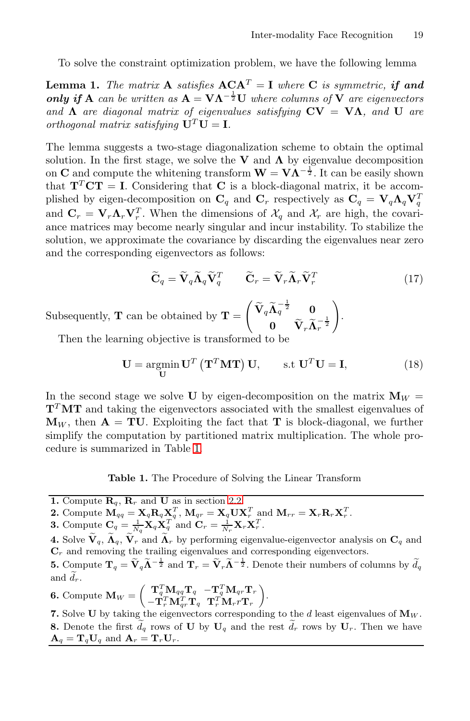.

To solve the constraint optimization problem, we have the following lemma

**Lemma 1.** The matrix **A** satisfies  $\mathbf{ACA}^T = \mathbf{I}$  where **C** is symmetric, if and *only if* **A** can be written as  $\mathbf{A} = \mathbf{V}\Lambda^{-\frac{1}{2}}\mathbf{U}$  where columns of  $\mathbf{V}$  are eigenvectors and  $\Lambda$  are diagonal matrix of eigenvalues satisfying  $CV = VA$ , and  $U$  are orthogonal matrix satisfying  $U^T U = I$ .

The lemma suggests a two-stage diagonalization scheme to obtain the optimal solution. In the first stage, we solve the **V** and  $\Lambda$  by eigenvalue decomposition on **C** and compute the whitening transform  $\mathbf{W} = \mathbf{V} \mathbf{\Lambda}^{-\frac{1}{2}}$ . It can be easily shown that  $\mathbf{T}^T \mathbf{C} \mathbf{T} = \mathbf{I}$ . Considering that **C** is a block-diagonal matrix, it be accomplished by eigen-decomposition on  $\mathbf{C}_q$  and  $\mathbf{C}_r$  respectively as  $\mathbf{C}_q = \mathbf{V}_q \mathbf{\Lambda}_q \mathbf{V}_q^T$ and  $\mathbf{C}_r = \mathbf{V}_r \mathbf{\Lambda}_r \mathbf{V}_r^T$ . When the dimensions of  $\mathcal{X}_q$  and  $\mathcal{X}_r$  are high, the covariance matrices may become nearly singular and incur instability. To stabilize the solution, we approximate the covariance by discarding the eigenvalues near zero and the corresponding eigenvectors as follows:

$$
\widetilde{\mathbf{C}}_q = \widetilde{\mathbf{V}}_q \widetilde{\mathbf{\Lambda}}_q \widetilde{\mathbf{V}}_q^T \qquad \widetilde{\mathbf{C}}_r = \widetilde{\mathbf{V}}_r \widetilde{\mathbf{\Lambda}}_r \widetilde{\mathbf{V}}_r^T \tag{17}
$$

Subsequently, **T** can be obtained by  $T =$  $\left(\,\widetilde{\mathbf{V}}_q\widetilde{\mathbf{\Lambda}}_q^{-\frac{1}{2}}\right|_{\sim}\,\,\frac{0}{\widetilde{\mathbb{R}}}$  $\mathbf{0}$  **V**<sub>r</sub> $\widetilde{\mathbf{\Lambda}}_r^{-\frac{1}{2}}$  $\setminus$ 

Then the [le](#page-6-0)arning objective is transformed to b

$$
\mathbf{U} = \underset{\mathbf{U}}{\operatorname{argmin}} \mathbf{U}^T \left( \mathbf{T}^T \mathbf{M} \mathbf{T} \right) \mathbf{U}, \qquad \text{s.t } \mathbf{U}^T \mathbf{U} = \mathbf{I}, \tag{18}
$$

<span id="page-6-0"></span>In the second stag[e we](#page-4-0) solve **U** by eigen-decomposition on the matrix  $\mathbf{M}_W$  = **T<sup>T</sup>MT** and taking the eigenvectors associated with the smallest eigenvalues of  $\mathbf{M}_W$ , then  $\mathbf{A} = \mathbf{T} \mathbf{U}$ . Exploiting the fact that **T** is block-diagonal, we further simplify the computation by partitioned matrix multiplication. The whole procedure is summarized in Table 1.

**Table 1.** The Procedure of Solving the Linear Transform

- **2.** Compute  $\mathbf{M}_{qq} = \mathbf{X}_q \mathbf{R}_q \mathbf{X}_q^T$ ,  $\mathbf{M}_{qr} = \mathbf{X}_q \mathbf{U} \mathbf{X}_r^T$  and  $\mathbf{M}_{rr} = \mathbf{X}_r \mathbf{R}_r \mathbf{X}_r^T$ .
- **3.** Compute  $\mathbf{C}_q = \frac{1}{N_q} \mathbf{X}_q \mathbf{X}_q^T$  and  $\mathbf{C}_r = \frac{1}{N_r} \mathbf{X}_r \mathbf{X}_r^T$ .

**4.** Solve  $\tilde{\mathbf{V}}_q$ ,  $\tilde{\mathbf{\Lambda}}_q$ ,  $\tilde{\mathbf{V}}_r$  and  $\tilde{\mathbf{\Lambda}}_r$  by performing eigenvalue-eigenvector analysis on  $\mathbf{C}_q$  and  $\mathbf{C}_r$  and removing the trailing eigenvalues and corresponding eigenvectors.

**5.** Compute  $\mathbf{T}_q = \widetilde{\mathbf{V}}_q \widetilde{\mathbf{\Lambda}}^{-\frac{1}{2}}$  and  $\mathbf{T}_r = \widetilde{\mathbf{V}}_r \widetilde{\mathbf{\Lambda}}^{-\frac{1}{2}}$ . Denote their numbers of columns by  $\widetilde{d}_q$ and  $d_r$ .

.

**6.** Compute 
$$
\mathbf{M}_W = \begin{pmatrix} \mathbf{T}_q^T \mathbf{M}_{qq} \mathbf{T}_q & -\mathbf{T}_q^T \mathbf{M}_{qr} \mathbf{T}_r \\ -\mathbf{T}_r^T \mathbf{M}_{qr}^T \mathbf{T}_q & \mathbf{T}_r^T \mathbf{M}_{rr} \mathbf{T}_r \end{pmatrix}
$$

**7.** Solve **U** by taking the eigenvectors corresponding to the  $d$  least eigenvalues of  $\mathbf{M}_W$ . **8.** Denote the first  $d_q$  rows of **U** by  $\mathbf{U}_q$  and the rest  $d_r$  rows by  $\mathbf{U}_r$ . Then we have  $\mathbf{A}_q = \mathbf{T}_q \mathbf{U}_q$  and  $\mathbf{A}_r = \mathbf{T}_r \mathbf{U}_r$ .

**<sup>1.</sup>** Compute  $\mathbf{R}_q$ ,  $\mathbf{R}_r$  and **U** as in section 2.2.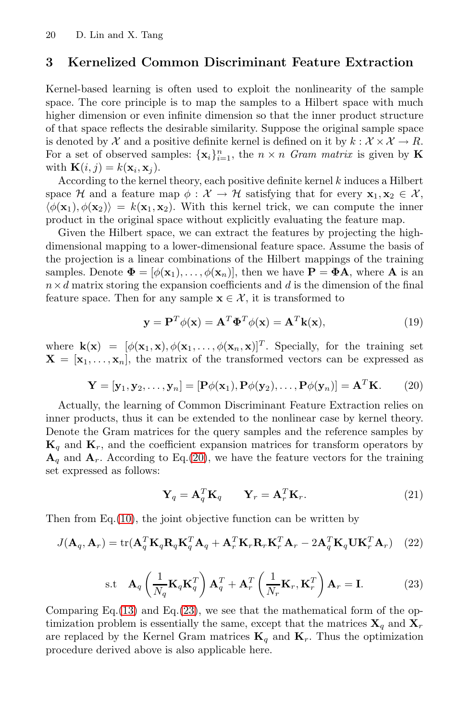# **3 Kernelized Common Discriminant Feature Extraction**

Kernel-based learning is often used to exploit the nonlinearity of the sample space. The core principle is to map the samples to a Hilbert space with much higher dimension or even infinite dimension so that the inner product structure of that space reflects the desirable similarity. Suppose the original sample space is denoted by X and a positive definite kernel is defined on it by  $k : \mathcal{X} \times \mathcal{X} \to \mathbb{R}$ . For a set of observed samples:  $\{x_i\}_{i=1}^n$ , the  $n \times n$  Gram matrix is given by **K** with  $\mathbf{K}(i,j) = k(\mathbf{x}_i, \mathbf{x}_j)$ .

According to the kernel theory, each positive definite kernel  $k$  induces a Hilbert space H and a feature map  $\phi : \mathcal{X} \to \mathcal{H}$  satisfying that for every  $\mathbf{x}_1, \mathbf{x}_2 \in \mathcal{X}$ ,  $\langle \phi(\mathbf{x}_1), \phi(\mathbf{x}_2) \rangle = k(\mathbf{x}_1, \mathbf{x}_2)$ . With this kernel trick, we can compute the inner product in the original space without explicitly evaluating the feature map.

<span id="page-7-0"></span>Given the Hilbert space, we can extract the features by projecting the highdimensional mapping to a lower-dimensional feature space. Assume the basis of the projection is a linear combinations of the Hilbert mappings of the training samples. Denote  $\mathbf{\Phi} = [\phi(\mathbf{x}_1), \dots, \phi(\mathbf{x}_n)]$ , then we have  $\mathbf{P} = \mathbf{\Phi} \mathbf{A}$ , where **A** is an  $n \times d$  matrix storing the expansion coefficients and d is the dimension of the final feature space. Then for any sample  $\mathbf{x} \in \mathcal{X}$ , it is transformed to

$$
\mathbf{y} = \mathbf{P}^T \phi(\mathbf{x}) = \mathbf{A}^T \mathbf{\Phi}^T \phi(\mathbf{x}) = \mathbf{A}^T \mathbf{k}(\mathbf{x}), \tag{19}
$$

where  $\mathbf{k}(\mathbf{x}) = [\phi(\mathbf{x}_1, \mathbf{x}), \phi(\mathbf{x}_1, \dots, \phi(\mathbf{x}_n, \mathbf{x})]^T$ . Specially, for the training set  $X = [\mathbf{x}_1, \ldots, \mathbf{x}_n]$ , the matrix of the transformed vectors can be expressed as

$$
\mathbf{Y} = [\mathbf{y}_1, \mathbf{y}_2, \dots, \mathbf{y}_n] = [\mathbf{P}\phi(\mathbf{x}_1), \mathbf{P}\phi(\mathbf{y}_2), \dots, \mathbf{P}\phi(\mathbf{y}_n)] = \mathbf{A}^T \mathbf{K}.
$$
 (20)

Actually, the learning of Common Discriminant Feature Extraction relies on inner products, thus it can be extended to the nonlinear case by kernel theory. Denote the Gram matrices for the query samples and the reference samples by  $\mathbf{K}_q$  and  $\mathbf{K}_r$ , and the coefficient expansion matrices for transform operators by  $\mathbf{A}_q$  and  $\mathbf{A}_r$ . According to Eq.(20), we have the feature vectors for the training set expressed as follows:

$$
\mathbf{Y}_q = \mathbf{A}_q^T \mathbf{K}_q \qquad \mathbf{Y}_r = \mathbf{A}_r^T \mathbf{K}_r. \tag{21}
$$

<span id="page-7-1"></span>Then fro[m](#page-7-1)  $Eg(10)$  $Eg(10)$ , the joint objective function can be written by

$$
J(\mathbf{A}_q, \mathbf{A}_r) = \text{tr}(\mathbf{A}_q^T \mathbf{K}_q \mathbf{R}_q \mathbf{K}_q^T \mathbf{A}_q + \mathbf{A}_r^T \mathbf{K}_r \mathbf{R}_r \mathbf{K}_r^T \mathbf{A}_r - 2\mathbf{A}_q^T \mathbf{K}_q \mathbf{U} \mathbf{K}_r^T \mathbf{A}_r) \tag{22}
$$

$$
\text{s.t} \quad \mathbf{A}_q \left( \frac{1}{N_q} \mathbf{K}_q \mathbf{K}_q^T \right) \mathbf{A}_q^T + \mathbf{A}_r^T \left( \frac{1}{N_r} \mathbf{K}_r, \mathbf{K}_r^T \right) \mathbf{A}_r = \mathbf{I}. \tag{23}
$$

Comparing Eq.  $(13)$  and Eq.  $(23)$ , we see that the mathematical form of the optimization problem is essentially the same, except that the matrices  $\mathbf{X}_q$  and  $\mathbf{X}_r$ are replaced by the Kernel Gram matrices  $\mathbf{K}_q$  and  $\mathbf{K}_r$ . Thus the optimization procedure derived above is also applicable here.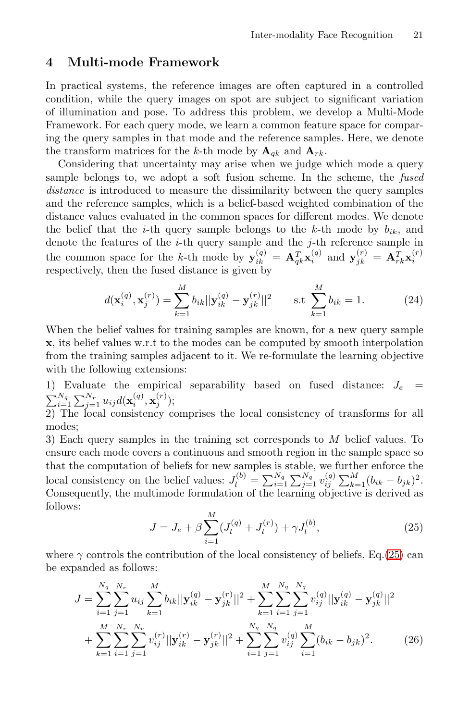# **4 Multi-mode Framework**

In practical systems, the reference images are often captured in a controlled condition, while the query images on spot are subject to significant variation of illumination and pose. To address this problem, we develop a Multi-Mode Framework. For each query mode, we learn a common feature space for comparing the query samples in that mode and the reference samples. Here, we denote the transform matrices for the k-th mode by  $\mathbf{A}_{qk}$  and  $\mathbf{A}_{rk}$ .

Considering that uncertainty may arise when we judge which mode a query sample belongs to, we adopt a soft fusion scheme. In the scheme, the fused distance is introduced to measure the dissimilarity between the query samples and the reference samples, which is a belief-based weighted combination of the distance values evaluated in the common spaces for different modes. We denote the belief that the *i*-th query sample belongs to the *k*-th mode by  $b_{ik}$ , and denote the features of the  $i$ -th query sample and the  $j$ -th reference sample in the common space for the k-th mode by  $\mathbf{y}_{ik}^{(q)} = \mathbf{A}_{qk}^T \mathbf{x}_i^{(q)}$  and  $\mathbf{y}_{jk}^{(r)} = \mathbf{A}_{rk}^T \mathbf{x}_i^{(r)}$  respectively, then the fused distance is given by

$$
d(\mathbf{x}_i^{(q)}, \mathbf{x}_j^{(r)}) = \sum_{k=1}^M b_{ik} ||\mathbf{y}_{ik}^{(q)} - \mathbf{y}_{jk}^{(r)}||^2 \quad \text{s.t } \sum_{k=1}^M b_{ik} = 1.
$$
 (24)

When the belief values for training samples are known, for a new query sample **x**, its belief values w.r.t to the modes can be computed by smooth interpolation from the training samples adjacent to it. We re-formulate the learning objective with the following extensions:

1) Evaluate the empirical separability based on fused distance:  $J_e$  =  $\sum_{i=1}^{N_q}\sum_{j=1}^{N_r}u_{ij}d(\mathbf{x}_{i}^{(q)},\mathbf{x}_{j}^{(r)});$ 

<span id="page-8-0"></span>2) The local consistency comprises the local consistency of transforms for all modes;

3) Each query samples in the training set corresponds to M belief values. To ensure each mode covers a continuous and smooth re[gion](#page-8-0) in the sample space so that the computation of beliefs for new samples is stable, we further enforce the local consistency on the belief values:  $J_l^{(b)} = \sum_{i=1}^{N_q} \sum_{j=1}^{N_q} v_{ij}^{(q)} \sum_{k=1}^{M} (b_{ik} - b_{jk})^2$ . Consequently, the multimode formulation of the learning objective is derived as follows:

$$
J = J_e + \beta \sum_{i=1}^{M} (J_l^{(q)} + J_l^{(r)}) + \gamma J_l^{(b)}, \qquad (25)
$$

where  $\gamma$  controls the contribution of the local consistency of beliefs. Eq.(25) can be expanded as follows:

$$
J = \sum_{i=1}^{N_q} \sum_{j=1}^{N_r} u_{ij} \sum_{k=1}^{M} b_{ik} ||\mathbf{y}_{ik}^{(q)} - \mathbf{y}_{jk}^{(r)}||^2 + \sum_{k=1}^{M} \sum_{i=1}^{N_q} \sum_{j=1}^{N_q} v_{ij}^{(q)} ||\mathbf{y}_{ik}^{(q)} - \mathbf{y}_{jk}^{(q)}||^2
$$
  
+ 
$$
\sum_{k=1}^{M} \sum_{i=1}^{N_r} \sum_{j=1}^{N_r} v_{ij}^{(r)} ||\mathbf{y}_{ik}^{(r)} - \mathbf{y}_{jk}^{(r)}||^2 + \sum_{i=1}^{N_q} \sum_{j=1}^{N_q} v_{ij}^{(q)} \sum_{i=1}^{M} (b_{ik} - b_{jk})^2.
$$
 (26)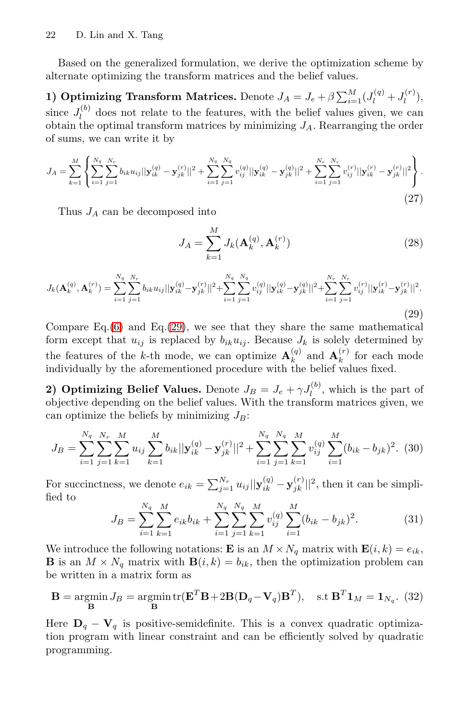Based on the generalized formulation, we derive the optimization scheme by alternate optimizing the transform matrices and the belief values.

**1) Optimizing Transform Matrices.** Denote  $J_A = J_e + \beta \sum_{i=1}^{M} (J_l^{(q)} + J_l^{(r)})$ , since  $J_l^{(b)}$  does not relate to the features, with the belief values given, we can obtain the optimal transform matrices by minimizing  $J_A$ . Rearranging the order of sums, we can write it by

$$
J_A = \sum_{k=1}^{M} \left\{ \sum_{i=1}^{N_q} \sum_{j=1}^{N_r} b_{ik} u_{ij} ||\mathbf{y}_{ik}^{(q)} - \mathbf{y}_{jk}^{(r)}||^2 + \sum_{i=1}^{N_q} \sum_{j=1}^{N_q} v_{ij}^{(q)} ||\mathbf{y}_{ik}^{(q)} - \mathbf{y}_{jk}^{(q)}||^2 + \sum_{i=1}^{N_r} \sum_{j=1}^{N_r} v_{ij}^{(r)} ||\mathbf{y}_{ik}^{(r)} - \mathbf{y}_{jk}^{(r)}||^2 \right\}.
$$
\n(27)

Thus  $J_A$  can be decomposed into

$$
J_A = \sum_{k=1}^{M} J_k(\mathbf{A}_k^{(q)}, \mathbf{A}_k^{(r)})
$$
 (28)

$$
J_k(\mathbf{A}_k^{(q)}, \mathbf{A}_k^{(r)}) = \sum_{i=1}^{N_q} \sum_{j=1}^{N_r} b_{ik} u_{ij} ||\mathbf{y}_{ik}^{(q)} - \mathbf{y}_{jk}^{(r)}||^2 + \sum_{i=1}^{N_q} \sum_{j=1}^{N_q} v_{ij}^{(q)} ||\mathbf{y}_{ik}^{(q)} - \mathbf{y}_{jk}^{(q)}||^2 + \sum_{i=1}^{N_r} \sum_{j=1}^{N_r} v_{ij}^{(r)} ||\mathbf{y}_{ik}^{(r)} - \mathbf{y}_{jk}^{(r)}||^2.
$$
\n(29)

Compare Eq. $(6)$  and Eq. $(29)$ , we see that they share the same mathematical form except that  $u_{ij}$  is replaced by  $b_{ik}u_{ij}$ . Because  $J_k$  is solely determined by the features of the k-th mode, we can optimize  $\mathbf{A}_k^{(q)}$  and  $\mathbf{A}_k^{(r)}$  for each mode individually by the aforementioned procedure with the belief values fixed.

**2) Optimizing Belief Values.** Denote  $J_B = J_e + \gamma J_l^{(b)}$ , which is the part of objective depending on the belief values. With the transform matrices given, we can optimize the beliefs by minimizing  $J_B$ :

$$
J_B = \sum_{i=1}^{N_q} \sum_{j=1}^{N_r} \sum_{k=1}^{M} u_{ij} \sum_{k=1}^{M} b_{ik} ||\mathbf{y}_{ik}^{(q)} - \mathbf{y}_{jk}^{(r)}||^2 + \sum_{i=1}^{N_q} \sum_{j=1}^{N_q} \sum_{k=1}^{M} v_{ij}^{(q)} \sum_{i=1}^{M} (b_{ik} - b_{jk})^2.
$$
 (30)

For succinctness, we denote  $e_{ik} = \sum_{j=1}^{N_r} u_{ij} ||\mathbf{y}_{ik}^{(q)} - \mathbf{y}_{jk}^{(r)}||^2$ , then it can be simplified to

$$
J_B = \sum_{i=1}^{N_q} \sum_{k=1}^{M} e_{ik} b_{ik} + \sum_{i=1}^{N_q} \sum_{j=1}^{N_q} \sum_{k=1}^{M} v_{ij}^{(q)} \sum_{i=1}^{M} (b_{ik} - b_{jk})^2.
$$
 (31)

We introduce the following notations: **E** is an  $M \times N_q$  matrix with  $\mathbf{E}(i,k) = e_{ik}$ , **B** is an  $M \times N_q$  matrix with  $\mathbf{B}(i,k) = b_{ik}$ , then the optimization problem can be written in a matrix form as

$$
\mathbf{B} = \underset{\mathbf{B}}{\operatorname{argmin}} J_B = \underset{\mathbf{B}}{\operatorname{argmin}} \operatorname{tr}(\mathbf{E}^T \mathbf{B} + 2\mathbf{B}(\mathbf{D}_q - \mathbf{V}_q)\mathbf{B}^T), \quad \text{s.t } \mathbf{B}^T \mathbf{1}_M = \mathbf{1}_{N_q}. \tag{32}
$$

Here  $\mathbf{D}_q - \mathbf{V}_q$  is positive-semidefinite. This is a convex quadratic optimization program with linear constraint and can be efficiently solved by quadratic programming.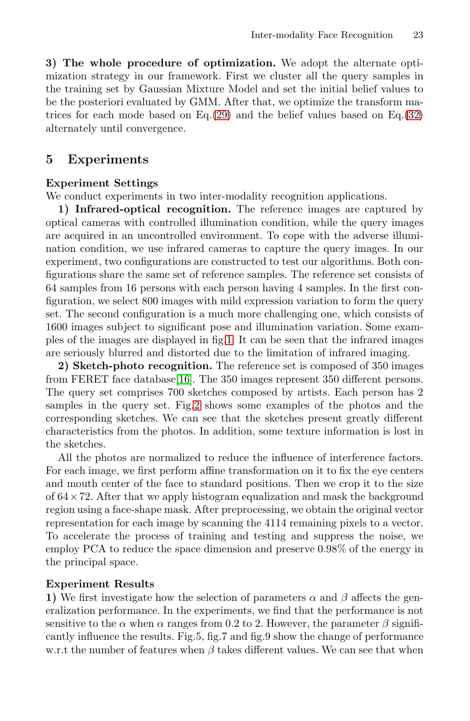**3) The whole procedure of optimization.** We adopt the alternate optimization strategy in our framework. First we cluster all the query samples in the training set by Gaussian Mixture Model and set the initial belief values to be the posteriori evaluated by GMM. After that, we optimize the transform matrices for each mode based on  $Eq.(29)$  and the belief values based on  $Eq.(32)$ alternately until convergence.

## **5 Experiments**

### **Experiment Settings**

We conduct experiments in two inter-modality recognition applications.

**1) Infrared-optical recognition.** The reference images are captured by optical cameras with controlled illumination condition, while the query images are acquired in an [u](#page-1-0)ncontrolled environment. To cope with the adverse illumination condition, we use infrared cameras to capture the query images. In our experiment, two configurations are constructed to test our algorithms. Both configuratio[ns s](#page-13-10)hare the same set of reference samples. The reference set consists of 64 samples from 16 persons with each person having 4 samples. In the first configuration, [we](#page-1-1) select 800 images with mild expression variation to form the query set. The second configuration is a much more challenging one, which consists of 1600 images subject to significant pose and illumination variation. Some examples of the images are displayed in fig.1. It can be seen that the infrared images are seriously blurred and distorted due to the limitation of infrared imaging.

**2) Sketch-photo recognition.** The reference set is composed of 350 images from FERET face database[16]. The 350 images represent 350 different persons. The query set comprises 700 sketches composed by artists. Each person has 2 samples in the query set. Fig.2 shows some examples of the photos and the corresponding sketches. We can see that the sketches present greatly different characteristics from the photos. In addition, some texture information is lost in the sketches.

All the photos are normalized to reduce the influence of interference factors. For each image, we first perform affine transformation on it to fix the eye centers and mouth center of the face to standard positions. Then we crop it to the size of  $64 \times 72$ . After that we apply histogram equalization and mask the background region using a face-shape mask. After preprocessing, we obtain the original vector representation for each image by scanning the 4114 remaining pixels to a vector. To accelerate the process of training and testing and suppress the noise, we employ PCA to reduce the space dimension and preserve 0.98% of the energy in the principal space.

#### **Experiment Results**

**1)** We first investigate how the selection of parameters  $\alpha$  and  $\beta$  affects the generalization performance. In the experiments, we find that the performance is not sensitive to the  $\alpha$  when  $\alpha$  ranges from 0.2 to 2. However, the parameter  $\beta$  significantly influence the results. Fig.5, fig.7 and fig.9 show the change of performance w.r.t the number of features when  $\beta$  takes different values. We can see that when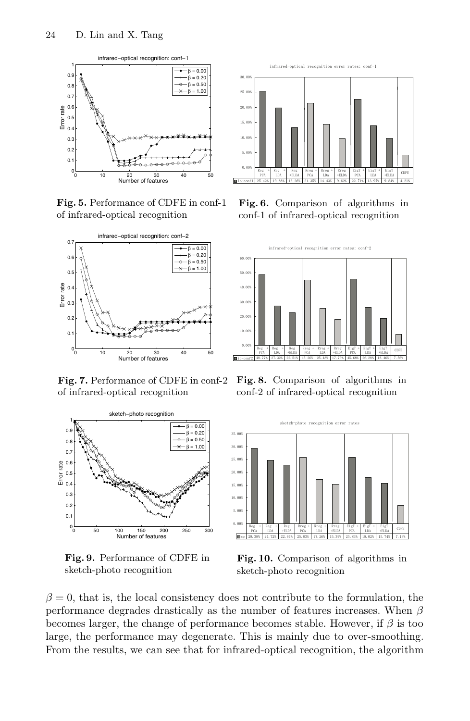

**Fig. 5.** Performance of CDFE in conf-1 of infrared-optical recognition



of infrared-optical recognition



**Fig. 9.** Performance of CDFE in sketch-photo recognition



**Fig. 6.** Comparison of algorithms in conf-1 of infrared-optical recognition



**Fig. 7.** Performance of CDFE in conf-2 **Fig. 8.** Comparison of algorithms in conf-2 of infrared-optical recognition



**Fig. 10.** Comparison of algorithms in sketch-photo recognition

 $\beta = 0$ , that is, the local consistency does not contribute to the formulation, the performance degrades drastically as the number of features increases. When  $\beta$ becomes larger, the change of performance becomes stable. However, if  $\beta$  is too large, the performance may degenerate. This is mainly due to over-smoothing. From the results, we can see that for infrared-optical recognition, the algorithm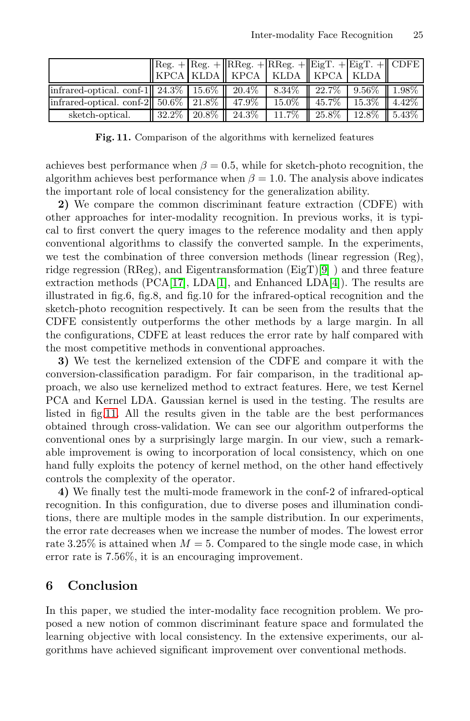|                                                                                                   |  | $\ \text{Reg.} + \text{Reg.} + \ \text{RReg.} + \text{RReg.} + \ \text{EigT.} + \text{EigT.} + \ \text{CDFE}\ $ |  |                                     |  |
|---------------------------------------------------------------------------------------------------|--|-----------------------------------------------------------------------------------------------------------------|--|-------------------------------------|--|
|                                                                                                   |  | $\ $ KPCA KLDA $\ $ KPCA KLDA $\ $ KPCA KLDA $\ $                                                               |  |                                     |  |
| infrared-optical. conf-1   24.3%   15.6%    $\overline{20.4\%}$   8.34%    22.7%   9.56%    1.98% |  |                                                                                                                 |  |                                     |  |
| infrared-optical. conf-2   $50.6\%$   $21.8\%$    $47.9\%$                                        |  |                                                                                                                 |  | $15.0\%$   45.7\%   15.3\%   4.42\% |  |
| sketch-optical.                                                                                   |  | $\parallel$ 32.2\% $\parallel$ 20.8\% $\parallel$ 24.3\% $\parallel$                                            |  | $11.7\%$   25.8\%   12.8\%   5.43\% |  |

**Fig. 11.** Comparison of the algorithms with kernelized features

achieves best performance when  $\beta = 0.5$ , while for sketch-photo recognition, the algorit[hm](#page-13-12) achiev[es](#page-13-1) best performa[n](#page-13-4)ce when  $\beta = 1.0$ . The analysis above indicates the important role of local consistency for the generalization ability.

**2)** We compare the common discriminant feature extraction (CDFE) with other approaches for inter-modality recognition. In previous works, it is typical to first convert the query images to the reference modality and then apply conventional algorithms to classify the converted sample. In the experiments, we test the combination of three conversion methods (linear regression (Reg), ridge regression (RReg), and Eigentransformation (EigT)[9] ) and three feature extraction methods (PCA[17], LDA[1], and Enhanced LDA[4]). The results are illustrated in fig.6, fig.8, and fig.10 for the infrared-optical recognition and the sketch-photo recognition respectively. It can be seen from the results that the CDFE consistently outperforms the other methods by a large margin. In all the configurations, CDFE at least reduces the error rate by half compared with the most competitive methods in conventional approaches.

**3)** We test the kernelized extension of the CDFE and compare it with the conversion-classification paradigm. For fair comparison, in the traditional approach, we also use kernelized method to extract features. Here, we test Kernel PCA and Kernel LDA. Gaussian kernel is used in the testing. The results are listed in fig.11. All the results given in the table are the best performances obtained through cross-validation. We can see our algorithm outperforms the conventional ones by a surprisingly large margin. In our view, such a remarkable improvement is owing to incorporation of local consistency, which on one hand fully exploits the potency of kernel method, on the other hand effectively controls the complexity of the operator.

**4)** We finally test the multi-mode framework in the conf-2 of infrared-optical recognition. In this configuration, due to diverse poses and illumination conditions, there are multiple modes in the sample distribution. In our experiments, the error rate decreases when we increase the number of modes. The lowest error rate 3.25% is attained when  $M = 5$ . Compared to the single mode case, in which error rate is 7.56%, it is an encouraging improvement.

## **6 Conclusion**

In this paper, we studied the inter-modality face recognition problem. We proposed a new notion of common discriminant feature space and formulated the learning objective with local consistency. In the extensive experiments, our algorithms have achieved significant improvement over conventional methods.